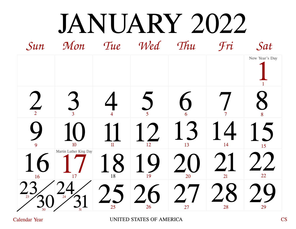### JANUARY 2022

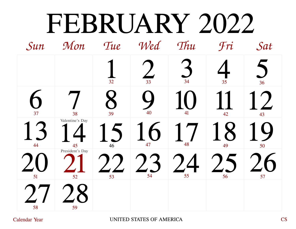#### FEBRUARY 2022

| Sun | Mon                                                    | Tue | Wed             | Thu | Fri | Sat |
|-----|--------------------------------------------------------|-----|-----------------|-----|-----|-----|
|     |                                                        | 32  | 33              | 34  | 35  | 36  |
| 37  | 38                                                     | 39  | 40              | 41  | 42  | 43  |
| 44  | Valentine's Day<br>$\frac{45}{\text{President's Day}}$ | 46  | $\bigcap$<br>47 | 48  | 49  | 50  |
| 51  | 52                                                     | 53  | 54              | 55  | 56  | 57  |
| 58  | 59                                                     |     |                 |     |     |     |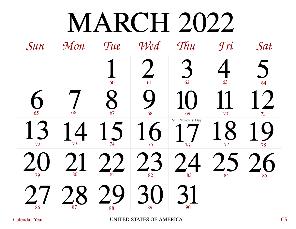## MARCH 2022

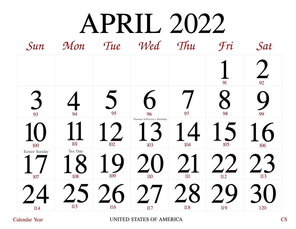## APRIL 2022

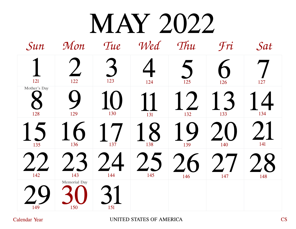## MAY 2022

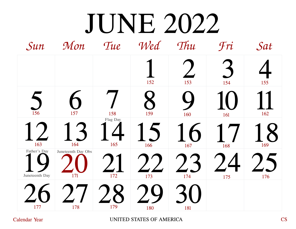# $JUNE 2022$ <br>Mon Tue Wed Thu

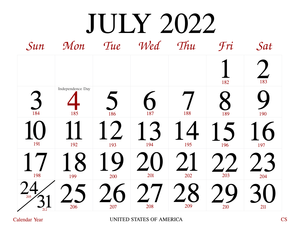# $\text{JUIY } 2022$ <br>Mon Tue Wed Thu

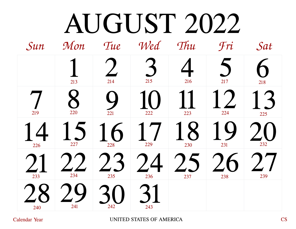## AUGUST 2022

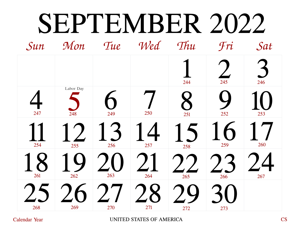## SEPTEMBER 2022

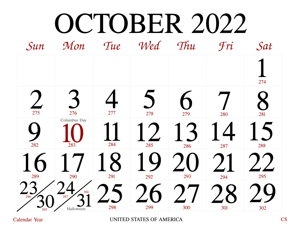## OCTOBER 2022

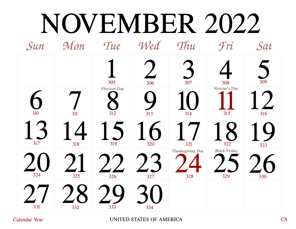## NOVEMBER 2022